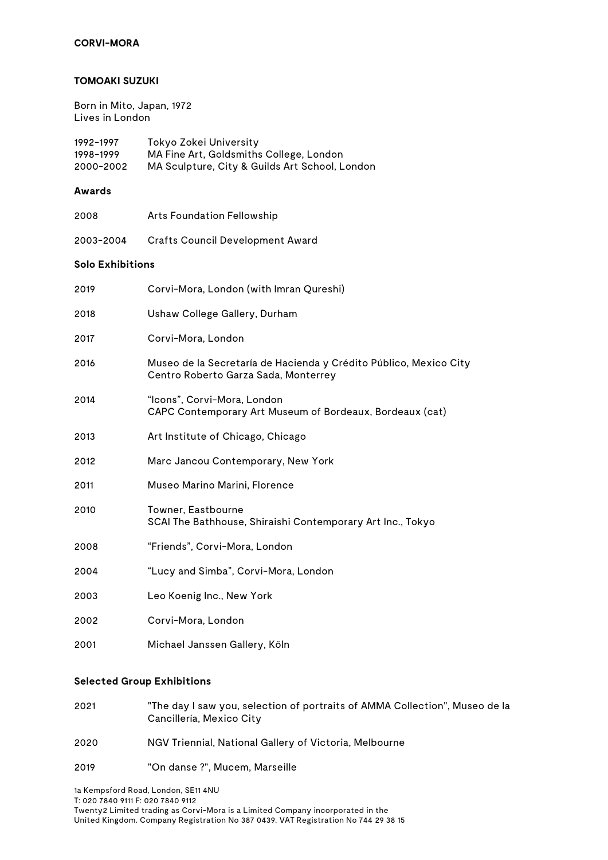### **CORVI-MORA**

#### **TOMOAKI SUZUKI**

Born in Mito, Japan, 1972 Lives in London

| 1992-1997 | Tokyo Zokei University                         |
|-----------|------------------------------------------------|
| 1998-1999 | MA Fine Art, Goldsmiths College, London        |
| 2000-2002 | MA Sculpture, City & Guilds Art School, London |

# **Awards**

| 2008 | Arts Foundation Fellowship |
|------|----------------------------|
|------|----------------------------|

2003-2004 Crafts Council Development Award

### **Solo Exhibitions**

| 2019 | Corvi-Mora, London (with Imran Qureshi)                                                                   |
|------|-----------------------------------------------------------------------------------------------------------|
| 2018 | Ushaw College Gallery, Durham                                                                             |
| 2017 | Corvi-Mora, London                                                                                        |
| 2016 | Museo de la Secretaría de Hacienda y Crédito Público, Mexico City<br>Centro Roberto Garza Sada, Monterrey |
| 2014 | "Icons", Corvi-Mora, London<br>CAPC Contemporary Art Museum of Bordeaux, Bordeaux (cat)                   |
| 2013 | Art Institute of Chicago, Chicago                                                                         |
| 2012 | Marc Jancou Contemporary, New York                                                                        |
| 2011 | Museo Marino Marini, Florence                                                                             |
| 2010 | Towner, Eastbourne<br>SCAI The Bathhouse, Shiraishi Contemporary Art Inc., Tokyo                          |
| 2008 | "Friends", Corvi-Mora, London                                                                             |
| 2004 | "Lucy and Simba", Corvi-Mora, London                                                                      |
| 2003 | Leo Koenig Inc., New York                                                                                 |
| 2002 | Corvi-Mora, London                                                                                        |
| 2001 | Michael Janssen Gallery, Köln                                                                             |

#### **Selected Group Exhibitions**

| 2021 | "The day I saw you, selection of portraits of AMMA Collection", Museo de la |
|------|-----------------------------------------------------------------------------|
|      | Cancillería, Mexico City                                                    |

- 2020 NGV Triennial, National Gallery of Victoria, Melbourne
- 2019 "On danse ?", Mucem, Marseille

1a Kempsford Road, London, SE11 4NU T: 020 7840 9111 F: 020 7840 9112 Twenty2 Limited trading as Corvi-Mora is a Limited Company incorporated in the United Kingdom. Company Registration No 387 0439. VAT Registration No 744 29 38 15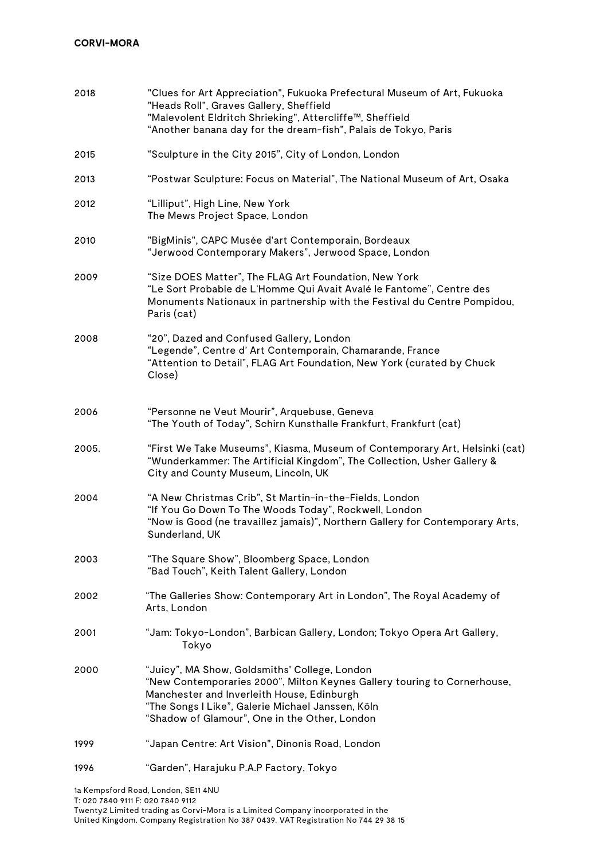| 2018  | "Clues for Art Appreciation", Fukuoka Prefectural Museum of Art, Fukuoka<br>"Heads Roll", Graves Gallery, Sheffield<br>"Malevolent Eldritch Shrieking", Attercliffe™, Sheffield<br>"Another banana day for the dream-fish", Palais de Tokyo, Paris                            |
|-------|-------------------------------------------------------------------------------------------------------------------------------------------------------------------------------------------------------------------------------------------------------------------------------|
| 2015  | "Sculpture in the City 2015", City of London, London                                                                                                                                                                                                                          |
| 2013  | "Postwar Sculpture: Focus on Material", The National Museum of Art, Osaka                                                                                                                                                                                                     |
| 2012  | "Lilliput", High Line, New York<br>The Mews Project Space, London                                                                                                                                                                                                             |
| 2010  | "BigMinis", CAPC Musée d'art Contemporain, Bordeaux<br>"Jerwood Contemporary Makers", Jerwood Space, London                                                                                                                                                                   |
| 2009  | "Size DOES Matter", The FLAG Art Foundation, New York<br>"Le Sort Probable de L'Homme Qui Avait Avalé le Fantome", Centre des<br>Monuments Nationaux in partnership with the Festival du Centre Pompidou,<br>Paris (cat)                                                      |
| 2008  | "20", Dazed and Confused Gallery, London<br>"Legende", Centre d' Art Contemporain, Chamarande, France<br>"Attention to Detail", FLAG Art Foundation, New York (curated by Chuck<br>Close)                                                                                     |
| 2006  | "Personne ne Veut Mourir", Arquebuse, Geneva<br>"The Youth of Today", Schirn Kunsthalle Frankfurt, Frankfurt (cat)                                                                                                                                                            |
| 2005. | "First We Take Museums", Kiasma, Museum of Contemporary Art, Helsinki (cat)<br>"Wunderkammer: The Artificial Kingdom", The Collection, Usher Gallery &<br>City and County Museum, Lincoln, UK                                                                                 |
| 2004  | "A New Christmas Crib", St Martin-in-the-Fields, London<br>"If You Go Down To The Woods Today", Rockwell, London<br>"Now is Good (ne travaillez jamais)", Northern Gallery for Contemporary Arts,<br>Sunderland, UK                                                           |
| 2003  | "The Square Show", Bloomberg Space, London<br>"Bad Touch", Keith Talent Gallery, London                                                                                                                                                                                       |
| 2002  | "The Galleries Show: Contemporary Art in London", The Royal Academy of<br>Arts, London                                                                                                                                                                                        |
| 2001  | "Jam: Tokyo-London", Barbican Gallery, London; Tokyo Opera Art Gallery,<br>Tokyo                                                                                                                                                                                              |
| 2000  | "Juicy", MA Show, Goldsmiths' College, London<br>"New Contemporaries 2000", Milton Keynes Gallery touring to Cornerhouse,<br>Manchester and Inverleith House, Edinburgh<br>"The Songs I Like", Galerie Michael Janssen, Köln<br>"Shadow of Glamour", One in the Other, London |
| 1999  | "Japan Centre: Art Vision", Dinonis Road, London                                                                                                                                                                                                                              |
| 1996  | "Garden", Harajuku P.A.P Factory, Tokyo                                                                                                                                                                                                                                       |

1a Kempsford Road, London, SE11 4NU

T: 020 7840 9111 F: 020 7840 9112

Twenty2 Limited trading as Corvi-Mora is a Limited Company incorporated in the United Kingdom. Company Registration No 387 0439. VAT Registration No 744 29 38 15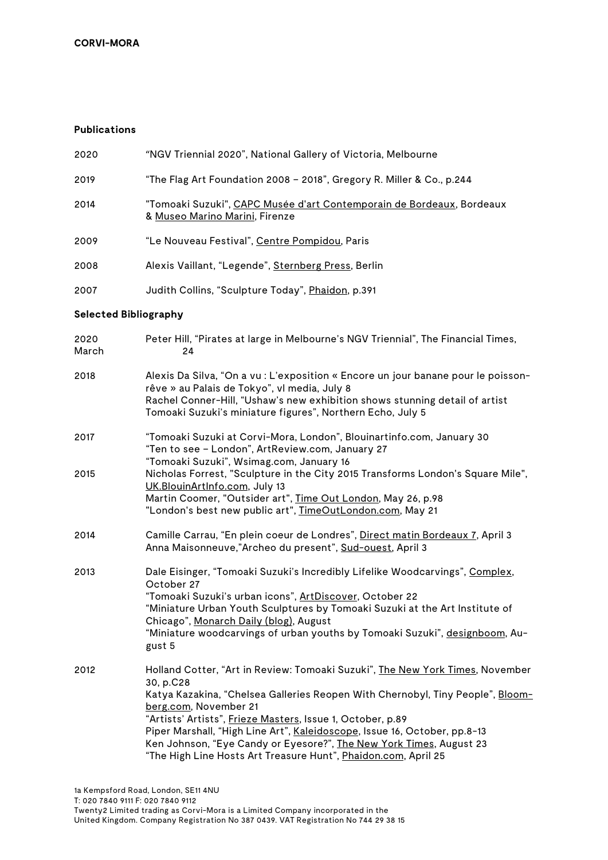# **Publications**

| <b>Selected Bibliography</b> |                                                                                                         |
|------------------------------|---------------------------------------------------------------------------------------------------------|
| 2007                         | Judith Collins, "Sculpture Today", Phaidon, p.391                                                       |
| 2008                         | Alexis Vaillant, "Legende", Sternberg Press, Berlin                                                     |
| 2009                         | "Le Nouveau Festival", <u>Centre Pompidou</u> , Paris                                                   |
| 2014                         | "Tomoaki Suzuki", CAPC Musée d'art Contemporain de Bordeaux, Bordeaux<br>& Museo Marino Marini, Firenze |
| 2019                         | "The Flag Art Foundation 2008 – 2018", Gregory R. Miller & Co., p.244                                   |
| 2020                         | "NGV Triennial 2020", National Gallery of Victoria, Melbourne                                           |

| 2020<br>March | Peter Hill, "Pirates at large in Melbourne's NGV Triennial", The Financial Times,<br>24                                                                                                                                                                                                                                                                                 |
|---------------|-------------------------------------------------------------------------------------------------------------------------------------------------------------------------------------------------------------------------------------------------------------------------------------------------------------------------------------------------------------------------|
| 2018          | Alexis Da Silva, "On a vu : L'exposition « Encore un jour banane pour le poisson-<br>rêve » au Palais de Tokyo", vl media, July 8<br>Rachel Conner-Hill, "Ushaw's new exhibition shows stunning detail of artist<br>Tomoaki Suzuki's miniature figures", Northern Echo, July 5                                                                                          |
| 2017          | "Tomoaki Suzuki at Corvi-Mora, London", Blouinartinfo.com, January 30<br>"Ten to see - London", ArtReview.com, January 27<br>"Tomoaki Suzuki", Wsimag.com, January 16                                                                                                                                                                                                   |
| 2015          | Nicholas Forrest, "Sculpture in the City 2015 Transforms London's Square Mile",<br>UK.BlouinArtInfo.com, July 13<br>Martin Coomer, "Outsider art", Time Out London, May 26, p.98<br>"London's best new public art", TimeOutLondon.com, May 21                                                                                                                           |
| 2014          | Camille Carrau, "En plein coeur de Londres", Direct matin Bordeaux 7, April 3<br>Anna Maisonneuve,"Archeo du present", Sud-ouest, April 3                                                                                                                                                                                                                               |
| 2013          | Dale Eisinger, "Tomoaki Suzuki's Incredibly Lifelike Woodcarvings", Complex,<br>October 27<br>"Tomoaki Suzuki's urban icons", ArtDiscover, October 22<br>"Miniature Urban Youth Sculptures by Tomoaki Suzuki at the Art Institute of<br>Chicago", Monarch Daily (blog), August<br>"Miniature woodcarvings of urban youths by Tomoaki Suzuki", designboom, Au-<br>gust 5 |
| 2012          | Holland Cotter, "Art in Review: Tomoaki Suzuki", The New York Times, November<br>30, p.C28<br>Katya Kazakina, "Chelsea Galleries Reopen With Chernobyl, Tiny People", Bloom-<br>berg.com, November 21<br>"Artists' Artists", Frieze Masters, Issue 1, October, p.89                                                                                                     |

Piper Marshall, "High Line Art", Kaleidoscope, Issue 16, October, pp.8-13 Ken Johnson, "Eye Candy or Eyesore?", The New York Times, August 23 "The High Line Hosts Art Treasure Hunt", Phaidon.com, April 25